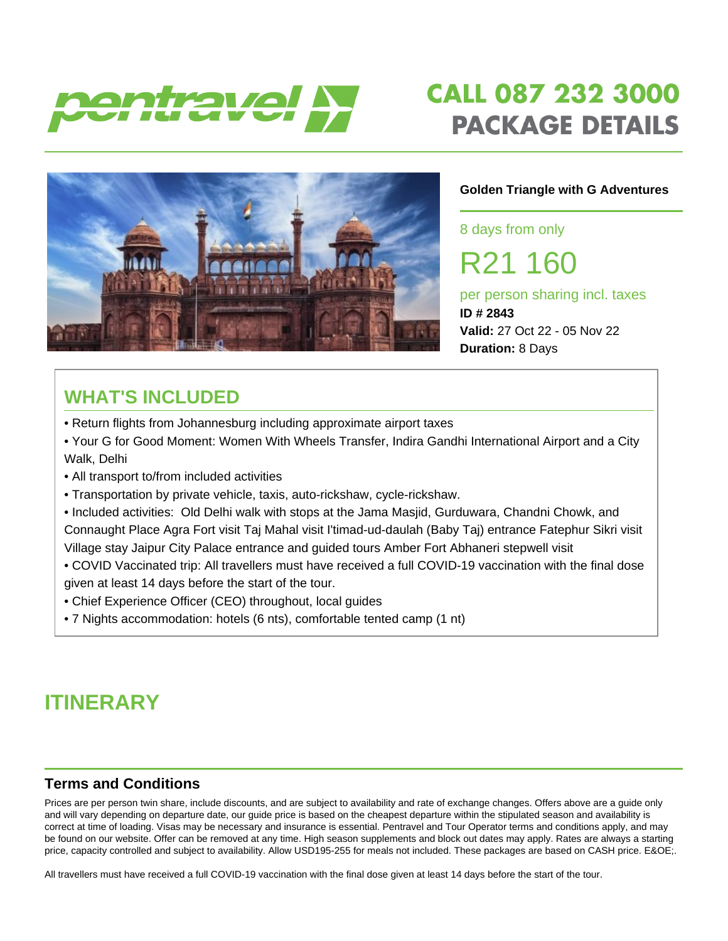

# **CALL 087 232 3000 PACKAGE DETAILS**



#### **Golden Triangle with G Adventures**

8 days from only

R21 160

per person sharing incl. taxes **ID # 2843 Valid:** 27 Oct 22 - 05 Nov 22 **Duration:** 8 Days

### **WHAT'S INCLUDED**

- Return flights from Johannesburg including approximate airport taxes
- Your G for Good Moment: Women With Wheels Transfer, Indira Gandhi International Airport and a City Walk, Delhi
- All transport to/from included activities
- Transportation by private vehicle, taxis, auto-rickshaw, cycle-rickshaw.
- Included activities: Old Delhi walk with stops at the Jama Masjid, Gurduwara, Chandni Chowk, and Connaught Place Agra Fort visit Taj Mahal visit I'timad-ud-daulah (Baby Taj) entrance Fatephur Sikri visit Village stay Jaipur City Palace entrance and guided tours Amber Fort Abhaneri stepwell visit
- COVID Vaccinated trip: All travellers must have received a full COVID-19 vaccination with the final dose given at least 14 days before the start of the tour.
- Chief Experience Officer (CEO) throughout, local guides
- 7 Nights accommodation: hotels (6 nts), comfortable tented camp (1 nt)

### **ITINERARY**

#### **Terms and Conditions**

Prices are per person twin share, include discounts, and are subject to availability and rate of exchange changes. Offers above are a guide only and will vary depending on departure date, our guide price is based on the cheapest departure within the stipulated season and availability is correct at time of loading. Visas may be necessary and insurance is essential. Pentravel and Tour Operator terms and conditions apply, and may be found on our website. Offer can be removed at any time. High season supplements and block out dates may apply. Rates are always a starting price, capacity controlled and subject to availability. Allow USD195-255 for meals not included. These packages are based on CASH price. E&OE;.

All travellers must have received a full COVID-19 vaccination with the final dose given at least 14 days before the start of the tour.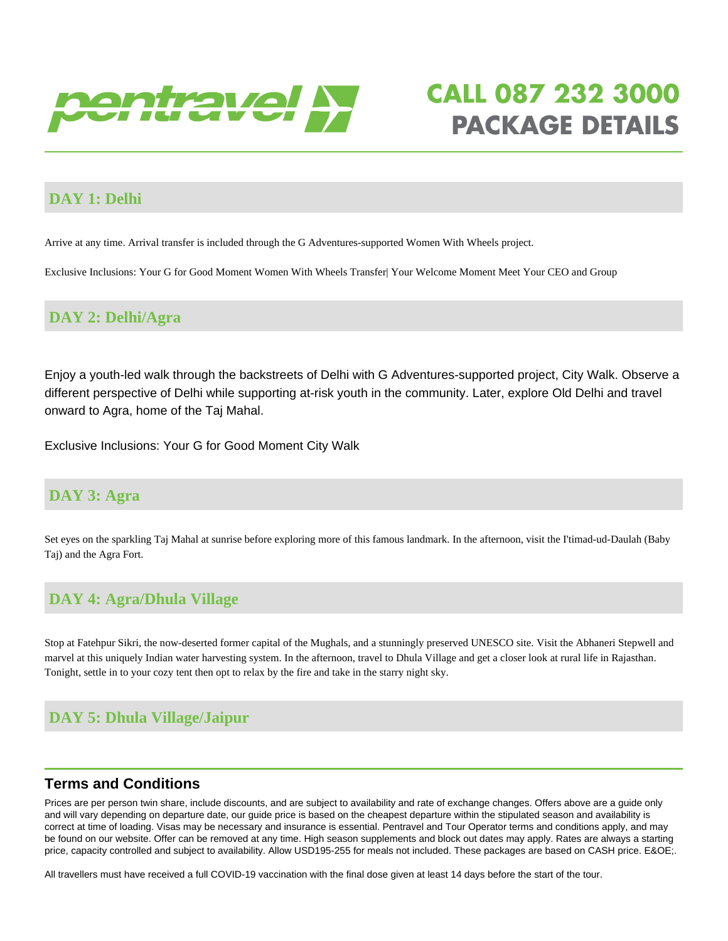

# **CALL 087 232 3000 PACKAGE DETAILS**

#### **DAY 1: Delhi**

Arrive at any time. Arrival transfer is included through the G Adventures-supported Women With Wheels project.

Exclusive Inclusions: Your G for Good Moment Women With Wheels Transfer| Your Welcome Moment Meet Your CEO and Group

#### **DAY 2: Delhi/Agra**

Enjoy a youth-led walk through the backstreets of Delhi with G Adventures-supported project, City Walk. Observe a different perspective of Delhi while supporting at-risk youth in the community. Later, explore Old Delhi and travel onward to Agra, home of the Taj Mahal.

Exclusive Inclusions: Your G for Good Moment City Walk

#### **DAY 3: Agra**

Set eyes on the sparkling Taj Mahal at sunrise before exploring more of this famous landmark. In the afternoon, visit the I'timad-ud-Daulah (Baby Taj) and the Agra Fort.

#### **DAY 4: Agra/Dhula Village**

Stop at Fatehpur Sikri, the now-deserted former capital of the Mughals, and a stunningly preserved UNESCO site. Visit the Abhaneri Stepwell and marvel at this uniquely Indian water harvesting system. In the afternoon, travel to Dhula Village and get a closer look at rural life in Rajasthan. Tonight, settle in to your cozy tent then opt to relax by the fire and take in the starry night sky.

#### **DAY 5: Dhula Village/Jaipur**

#### **Terms and Conditions**

Prices are per person twin share, include discounts, and are subject to availability and rate of exchange changes. Offers above are a guide only and will vary depending on departure date, our guide price is based on the cheapest departure within the stipulated season and availability is correct at time of loading. Visas may be necessary and insurance is essential. Pentravel and Tour Operator terms and conditions apply, and may be found on our website. Offer can be removed at any time. High season supplements and block out dates may apply. Rates are always a starting price, capacity controlled and subject to availability. Allow USD195-255 for meals not included. These packages are based on CASH price. E&OE;.

All travellers must have received a full COVID-19 vaccination with the final dose given at least 14 days before the start of the tour.